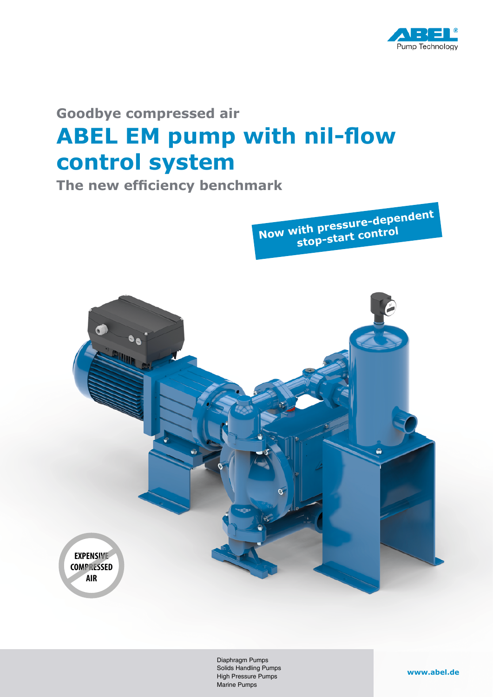

# **Goodbye compressed air ABEL EM pump with nil-flow control system**

**The new efficiency benchmark**

**Now with pressure-dependen<sup>t</sup> stop-start control**



Diaphragm Pumps Solids Handling Pumps High Pressure Pumps Marine Pumps

#### **www.abel.de**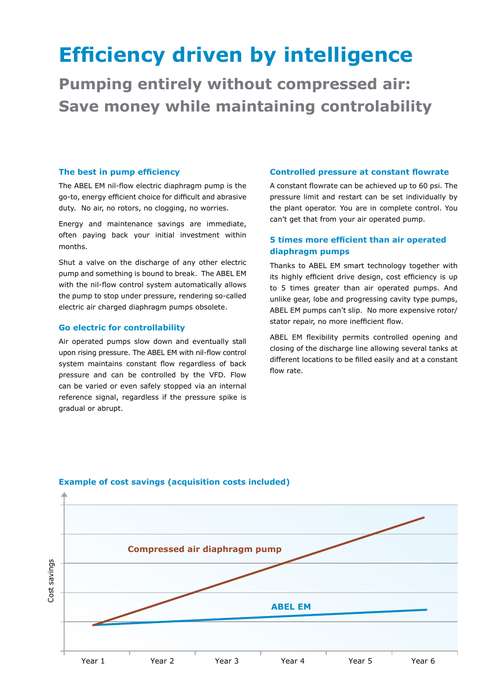# **Efficiency driven by intelligence**

**Pumping entirely without compressed air: Save money while maintaining controlability**

#### **The best in pump efficiency**

The ABEL EM nil-flow electric diaphragm pump is the go-to, energy efficient choice for difficult and abrasive duty. No air, no rotors, no clogging, no worries.

Energy and maintenance savings are immediate, often paying back your initial investment within months.

Shut a valve on the discharge of any other electric pump and something is bound to break. The ABEL EM with the nil-flow control system automatically allows the pump to stop under pressure, rendering so-called electric air charged diaphragm pumps obsolete.

#### **Go electric for controllability**

Air operated pumps slow down and eventually stall upon rising pressure. The ABEL EM with nil-flow control system maintains constant flow regardless of back pressure and can be controlled by the VFD. Flow can be varied or even safely stopped via an internal reference signal, regardless if the pressure spike is gradual or abrupt.

#### **Controlled pressure at constant flowrate**

A constant flowrate can be achieved up to 60 psi. The pressure limit and restart can be set individually by the plant operator. You are in complete control. You can't get that from your air operated pump.

### **5 times more efficient than air operated diaphragm pumps**

Thanks to ABEL EM smart technology together with its highly efficient drive design, cost efficiency is up to 5 times greater than air operated pumps. And unlike gear, lobe and progressing cavity type pumps, ABEL EM pumps can't slip. No more expensive rotor/ stator repair, no more inefficient flow.

ABEL EM flexibility permits controlled opening and closing of the discharge line allowing several tanks at different locations to be filled easily and at a constant flow rate.



#### **Example of cost savings (acquisition costs included)**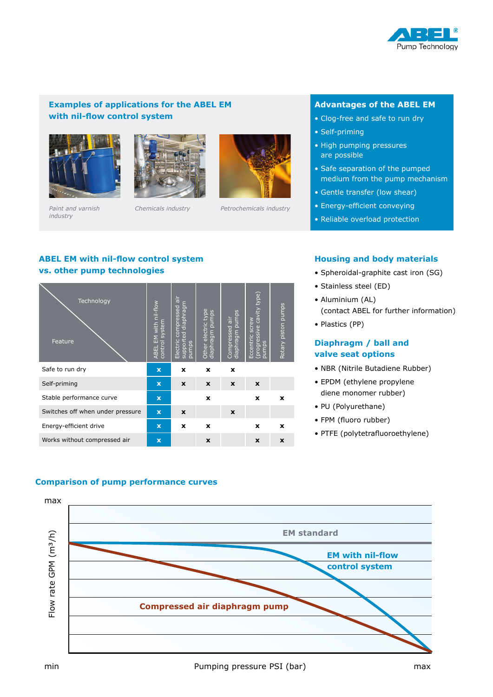

## **Examples of applications for the ABEL EM with nil-flow control system**





*Paint and varnish industry*



*Chemicals industry Petrochemicals industry*

### **Advantages of the ABEL EM**

- Clog-free and safe to run dry
- Self-priming
- High pumping pressures are possible
- Safe separation of the pumped medium from the pump mechanism
- Gentle transfer (low shear)
- Energy-efficient conveying
- Reliable overload protection

# **ABEL EM with nil-flow control system vs. other pump technologies**

| Technology<br>Feature            | EM with nil-flow<br>control system<br><b>ABEL</b> | Electric compressed air<br>diaphragm<br>supported<br>pumps | Other electric type<br>diaphragm pumps | pumps<br>air<br>Compressed<br>diaphragm | (ed/1.<br>cavity<br>Eccentric screw<br>(progressive<br>pumps | Rotary piston pumps |
|----------------------------------|---------------------------------------------------|------------------------------------------------------------|----------------------------------------|-----------------------------------------|--------------------------------------------------------------|---------------------|
| Safe to run dry                  | $\overline{\mathbf{x}}$                           | x                                                          | x                                      | x                                       |                                                              |                     |
| Self-priming                     | $\mathbf x$                                       | X                                                          | $\mathbf x$                            | X                                       | X                                                            |                     |
| Stable performance curve         | $\mathbf x$                                       |                                                            | x                                      |                                         | X                                                            | $\mathbf x$         |
| Switches off when under pressure | $\mathbf x$                                       | X                                                          |                                        | X                                       |                                                              |                     |
| Energy-efficient drive           | $\mathbf x$                                       | x                                                          | x                                      |                                         | X                                                            | x                   |
| Works without compressed air     | $\overline{\mathbf{x}}$                           |                                                            | X                                      |                                         | X                                                            | X                   |

## **Housing and body materials**

- Spheroidal-graphite cast iron (SG)
- Stainless steel (ED)
- Aluminium (AL) (contact ABEL for further information)
- Plastics (PP)

## **Diaphragm / ball and valve seat options**

- NBR (Nitrile Butadiene Rubber)
- EPDM (ethylene propylene diene monomer rubber)
- PU (Polyurethane)
- FPM (fluoro rubber)
- PTFE (polytetrafluoroethylene)

## **Comparison of pump performance curves Comparison of pump performance curves**